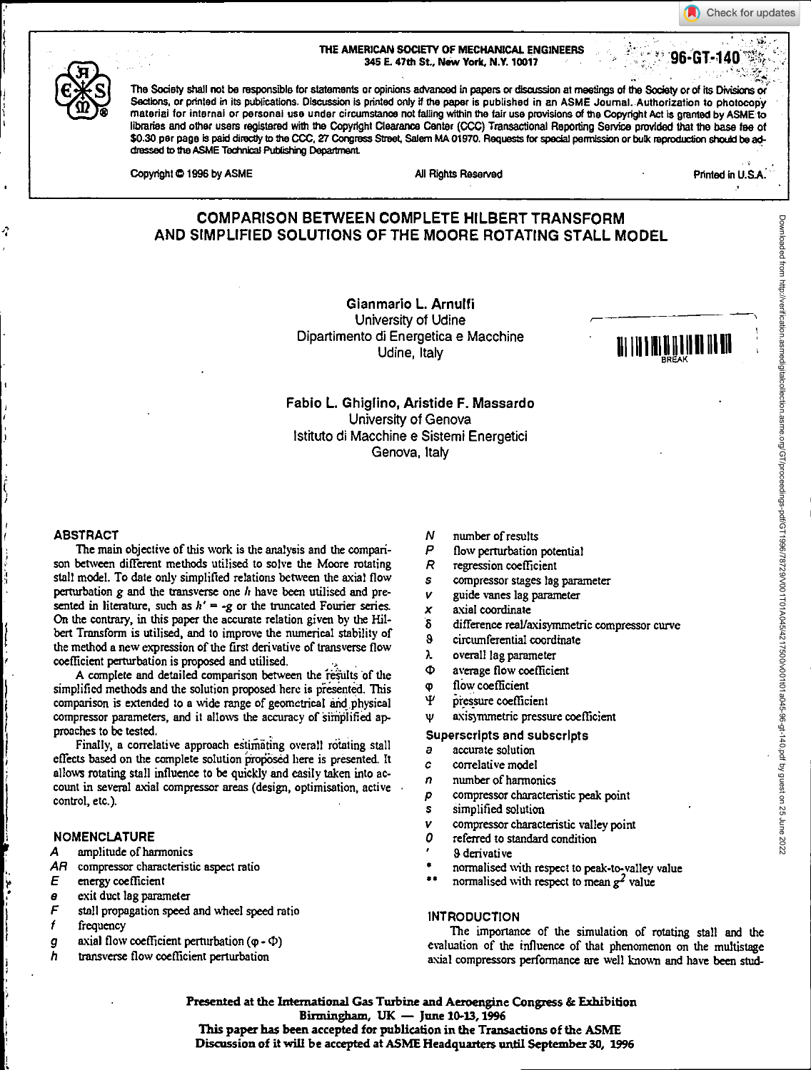#### THE AMERICAN SOCIETY OF MECHANICAL ENGINEERS 345 E. 47th St., New York, N.Y. 10017

The Society shall not be responsible for statements or opinions advanced in papers or discussion at meetings of the Society or of its Divisions or Sections, or printed in its publications. Discussion is printed only if the paper is published in an ASME Journal. Authorization to photocopy material for internal or personal use under circumstance not falling within the fair use provisions of the Copyright Act is granted by ASME to libraries and other users registered with the Copyright Clearance Center (CCC) Transactional Reporting Service provided that the *base* fee of \$0.30 per page Is paid directly to the CCC, 27 Congress Street Salem MA 01970. Requests for special permission or bulk reproduction should be addressed to the ASME Technical Publishing Department.

| Copyright © 1996 by ASMI |  |
|--------------------------|--|
|--------------------------|--|

Copyright 1 1996 by All Rights Reserved Printed in U.S.A. **Printed in U.S.A.** 

# **COMPARISON BETWEEN COMPLETE HILBERT TRANSFORM AND SIMPLIFIED SOLUTIONS OF THE MOORE ROTATING STALL MODEL**

Gianmario L. Arnulfi University of Udine Dipartimento di Energetica e Macchine di Energetica e Macchine<br>Udine, Italy Imply na Imply na Imply na Imply na Imply na Imply na Imply na Imply na Imply na Imply na Imply n



## Fabio **L.** Ghiglino, Aristide F. Massardo University of Genova Isiltuto di Macchine e Sistemi Energetici Genova, Italy

The main objective of this work is the analysis and the comparison between different methods utilised to solve the Moore rotating stall model. To date only simplified relations between the axial flow perturbation *g* and the transverse one *It* have been utilised and presented in literature, such as  $h' = -g$  or the truncated Fourier series. On the contrary, in this paper the accurate relation given by the Hilbert Transform is utilised, and to improve the numerical stability of the method a new expression of the first derivative of transverse flow coefficient perturbation is proposed and utilised.

A complete and detailed comparison between the results of the simplified methods and the solution proposed here is presented. This comparison is extended to a wide range of geometrical and physical compressor parameters, and it allows the accuracy of simplified approaches to be tested.

Finally, a correlative approach estimating overall rotating stall effects based on the complete solution proposed here is presented. It allows rotating stall influence to be quickly and easily taken into account in several axial compressor areas (design, optimisation, active control, etc.).

## **NOMENCLATURE**

- *A* amplitude of harmonics
- AR compressor characteristic aspect ratio
- *E* energy *coefficient*
- e exit duct lag parameter
- *F* stall propagation speed and wheel speed ratio
- $\epsilon$ frequency
- *g* axial flow coefficient perturbation (φ Φ)
- *h* transverse flow coefficient perturbation
- N number of results
- P flow perturbation potential
- $\overline{R}$ regression coefficient
- $\mathbf{s}$ compressor stages lag parameter
- V guide vanes lag parameter
- X axial coordinate
- $\delta$ difference reallaxisymmetric compressor curve
- $\bf{a}$ circumferential coordinate
- λ overall lag parameter
- Ф average flow coefficient
- flow coefficient  $\Phi$
- Ψ pressure coefficient
- axisymmetric pressure coefficient Ψ

Superscripts **and** subscripts

- a accurate solution
- c correlative model
- n number of harmonics
- *p* compressor characteristic peak point
- **s** simplified solution
- $V = \text{compressor characteristic valley point}$ <br> $Q = \text{refered to standard condition}$
- referred to standard condition
- 8 derivative
- •• • normalised with respect to peak-to-valley value
	- normalised with respect to *mean g2* value

#### **INTRODUCTION**

The importance of the simulation of rotating stall and the evaluation of the influence of that phenomenon on the multistage axial compressors performance are well known and have been stud-

**Presented at the international Gas Turbine and Aeroengine Congress & Exhibition Birmingham, UK — June 10-13, 1996 This paper has been accepted for publication in the Transactions of the ASME Discussion of it will be accepted at ASME Headquarters until September 30, 1996** 

Check for updates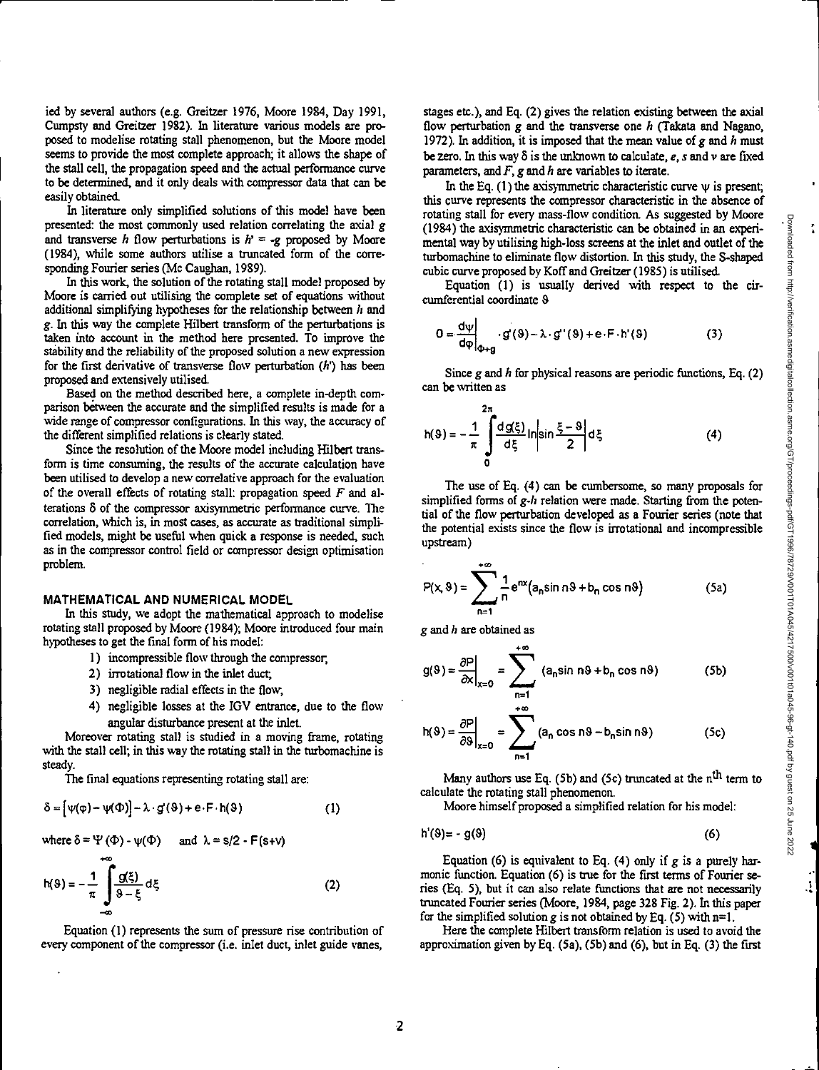ied by several authors (e.g. Greitzer 1976, Moore 1984, Day 1991, Cumpsty and Greitzer 1982). In literature various models are proposed to modelise rotating stall phenomenon, but the Moore model seems to provide the most complete approach; it allows the shape of the stall cell, the propagation speed and the actual performance curve to be determined, and it only deals with compressor data that can be easily obtained.

In literature only simplified solutions of this model have been presented: the most commonly used relation correlating the axial *g*  and transverse *h* flow perturbations is  $h = -g$  proposed by Moore (1984), while some authors utilise a truncated form of the corresponding Fourier series (Mc Caughan, 1989).

In this work, the solution of the rotating stall model proposed by Moore is carried out utilising the complete set of equations without additional simplifying hypotheses for the relationship between  $h$  and *g.* In this way the complete Hilbert transform of the perturbations is taken into account in the method here presented. To improve the stability and the reliability of the proposed solution a new expression for the first derivative of transverse flow perturbation *(h')* has been proposed and extensively utilised.

Based on the method described here, a complete in-depth comparison between the accurate and the simplified results is made for a wide range of compressor configurations. In this way, the accuracy of the different simplified relations is clearly stated.

Since the resolution of the Moore model including Hilbert transform is time consuming, the results of the accurate calculation have been utilised to develop a *new* correlative approach for the evaluation of the overall effects of rotating stall: propagation speed *F* and alterations 8 of the compressor axisymmetric performance curve. The correlation, which is, in most cases, as accurate as traditional simplified models, might be useful when quick a response is needed, such as in the compressor control field or compressor design optimisation problem.

#### **MATHEMATICAL AND NUMERICAL MODEL**

In this study, we adopt the mathematical approach to modelise rotating stall proposed by Moore (1984); Moore introduced four main hypotheses to get the final form of his model:

- 1) incompressible flow through the compressor,
- 2) irrotational flow in the inlet duct;
- 3) negligible radial effects in the flow,
- 4) negligible losses at the IGV entrance, due to the flow angular disturbance present at the inlet.

Moreover rotating stall is studied in a moving frame, rotating with the stall cell; in this way the rotating stall in the turbomachine is steady.

The final equations representing rotating stall are:

$$
\delta = [\psi(\varphi) - \psi(\Phi)] - \lambda \cdot g(\vartheta) + e \cdot F \cdot h(\vartheta)
$$
 (1)

where 
$$
\delta = \Psi(\Phi) - \psi(\Phi)
$$
 and  $\lambda = s/2 - F(s+v)$ 

$$
h(9) = -\frac{1}{\pi} \int \frac{g(\xi)}{9 - \xi} d\xi
$$
 (2)

Equation (1) represents the sum of pressure rise contribution of every component of the compressor (i.e. inlet duct, inlet guide vanes,

stages etc.), and Eq. (2) gives the relation existing between the axial flow perturbation *g* and the transverse one *h* (Takata and Nagano, 1972). In addition, it is imposed that the mean value of *g* and *h* must be zero. In this way 8 is the unknown to calculate, *e, s* and v are fixed parameters, and *F, g* and *h* are variables to iterate.

In the Eq.  $(1)$  the axisymmetric characteristic curve  $\psi$  is present; this curve represents the compressor characteristic in the absence of rotating stall for every mass-flow condition. As suggested by Moore (1984) the axisyriunetric characteristic can be obtained in an experimental way by utilising high-loss screens at the inlet and outlet of the turbomachine to eliminate flow distortion. In this study, the S-shaped cubic curve proposed by Koff and Greitzer (1985) is utilised.

Equation (1) is usually derived with respect to the circumferential coordinate 8

$$
0 = \frac{d\psi}{d\varphi}\bigg|_{\varphi + g} \cdot g'(9) - \lambda \cdot g'(9) + e \cdot F \cdot h'(9) \tag{3}
$$

Since *g* and *h* for physical reasons are periodic functions, Eq. (2) can be written as

$$
h(9) = -\frac{1}{\pi} \int_{0}^{2\pi} \frac{d g(\xi)}{d \xi} \ln \left| \sin \frac{\xi - 9}{2} \right| d \xi \tag{4}
$$

The use of Eq. (4) can be cumbersome, so many proposals for simplified forms of *g-h* relation were made. Starting from the potential of the flow perturbation developed as a Fourier series (note that the potential exists since the flow is irrotational and incompressible upstream)

$$
P(x, 9) = \sum_{n=1}^{+\infty} \frac{1}{n} e^{nx} (a_n \sin n \cdot 9 + b_n \cos n \cdot 9)
$$
 (5a)

*g* and *h* are obtained as

$$
g(9) = \frac{\partial P}{\partial x}\Big|_{x=0} = \sum_{n=1}^{+\infty} (a_n \sin n\theta + b_n \cos n\theta)
$$
 (5b)

$$
h(9) = \frac{\partial P}{\partial 9}\Big|_{x=0} = \sum_{n=1}^{+\infty} (a_n \cos n9 - b_n \sin n9)
$$
 (5c)

Many authors use Eq. (5b) and (5c) truncated at the n<sup>th</sup> term to calculate the rotating stall phenomenon.

Moore himself proposed a simplified relation for his model:

$$
h'(\vartheta) = -g(\vartheta) \tag{6}
$$

Equation (6) is equivalent to Eq. (4) only if *g is* a purely harmonic function. Equation (6) is true for the first terms of Fourier series (Eq. 5), but it can also relate functions that are not necessarily truncated Fourier series (Moore, 1984, page 328 Fig. 2). In this paper for the simplified solution *g* is not obtained by Eq. (5) with n=1.

Here the complete Hilbert transform relation is used to avoid the approximation given by Eq. (5a), (5b) and (6), but in Eq. (3) the first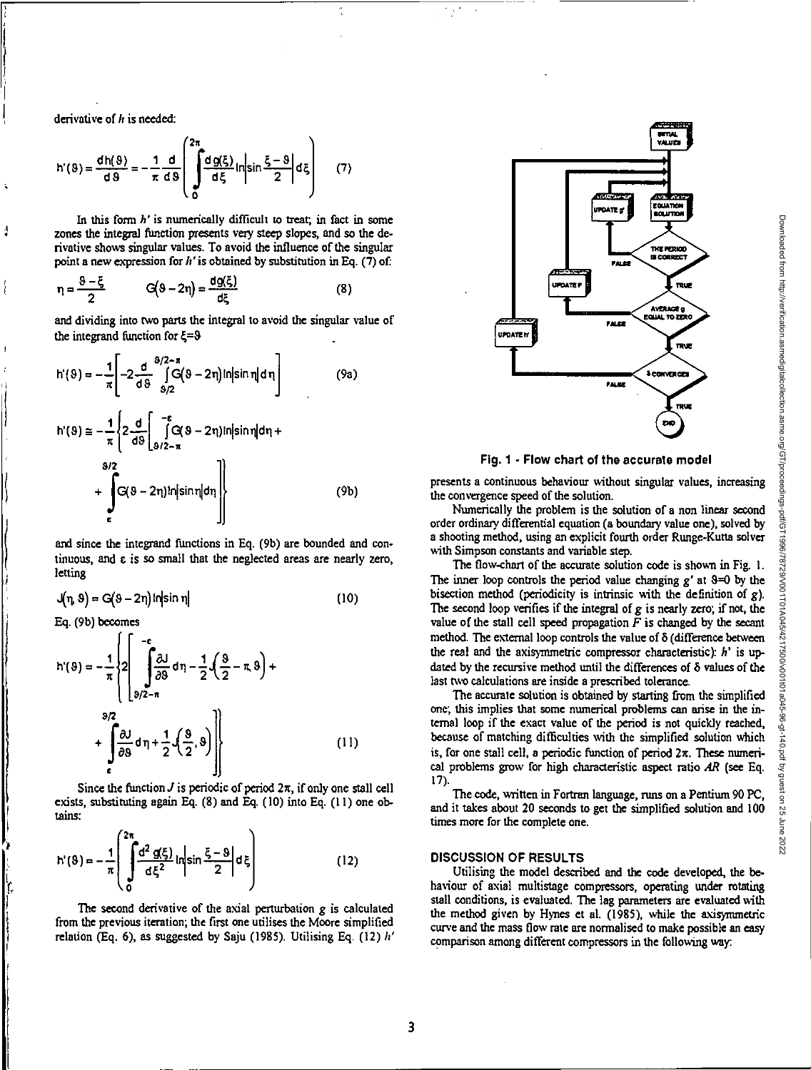**derivative of** *!: is* **needed:** 

 $\frac{1}{2}$ 

Ï.

$$
h'(9) = \frac{dh(9)}{d9} = -\frac{1}{\pi} \frac{d}{d9} \left( \int_{0}^{2\pi} \frac{dg(\xi)}{d\xi} \ln \left| \sin \frac{\xi - 9}{2} \right| d\xi \right) \tag{7}
$$

**In this form** *h' is* **numerically difficult to treat; in fact in some**  zones the integral function presents very steep slopes, and so the de**rivative shows singular values. To avoid the influence of the singular point a new expression for h' is obtained by substitution in Eq. (7) of:** 

$$
\eta = \frac{8-\xi}{2} \qquad \qquad G\left(8-2\eta\right) = \frac{dg\left(\xi\right)}{d\xi} \tag{8}
$$

**and dividing into two parts the integral to avoid the singular value of**  the integrand function for  $\xi = 9$ 

$$
h'(9) = -\frac{1}{\pi} \left[ -2 \frac{d}{d9} \int_{9/2}^{9/2 - \pi} [G(9 - 2\eta)] \text{in} |\sin \eta| d\eta \right]
$$
(9a)  

$$
h'(9) \approx -\frac{1}{\pi} \left\{ 2 \frac{d}{d9} \left[ \int_{9/2 - \pi}^{\pi} [G(9 - 2\eta)] \text{in} |\sin \eta| d\eta + \int_{9/2 - \pi}^{9/2} [G(9 - 2\eta)] \text{in} |\sin \eta| d\eta \right\}
$$
(9b)

**and since the integrand functions in Eq. (9b) are bounded and continuous, and c is so small that the neglected areas are nearly zero, letting** 

$$
J(n, 9) = G(9 - 2n) ln |sin n|
$$
 (10)

**Eq. (9b) becomes** 

$$
h'(9) = -\frac{1}{\pi} \left\{ 2 \left[ \int_{\frac{3}{2}}^{-\epsilon} \frac{\delta J}{\delta \theta} d\eta - \frac{1}{2} \left( \frac{3}{2} - \pi, 9 \right) + \int_{\epsilon}^{9/2} d\eta + \int_{\epsilon}^{9/2} \frac{\delta J}{\delta \theta} d\eta + \frac{1}{2} \left( \frac{9}{2}, 9 \right) \right] \right\}
$$
(11)

Since the function  $J$  is periodic of period  $2\pi$ , if only one stall cell exists, substituting again Eq. (8) and Eq. (10) into Eq. (11) one ob**tains:** 

$$
h'(9) = -\frac{1}{\pi} \left( \int_{0}^{2\pi} \frac{d^2 g(\xi)}{d\xi^2} ln \left| \sin \frac{\xi - 9}{2} \right| d\xi \right)
$$
 (12)

**The second derivative of the axial perturbation** *g is* **calculated from the previous iteration; the first one utilises the Moore simplified relation (Eq. 6), as suggested by Saju (1985). Utilising Eq. (12)** *h'* 



**Fig. 1 - Flow chart of the accurate model** 

**presents a continuous behaviour without singular values, increasing the convergence speed of the solution.** 

**Numerically the problem is the solution of a non linear second order ordinary differential equation (a boundary value one), solved by a shooting method, using an explicit fourth order Runge-Kutta solver with Simpson constants and variable step.** 

**The flow-chart of the accurate solution code is shown in Fig. 1.**  The inner loop controls the period value changing  $g'$  at  $\theta = 0$  by the **bisection method (periodicity is intrinsic with the definition of** *g).*  **The second loop verifies if the integral of** *g* **is nearly zero;** *if* **not, the**  value of the stall cell speed propagation  $F$  is changed by the secant **method. The external loop controls the value of 8 (difference between the real and the axisyrnmetric compressor characteristic):** *h' is* **updated by the recursive method until the differences of 8 values of the last two calculations are inside a prescribed tolerance.** 

**The accurate solution is obtained by starting from the simplified one; this implies that some numerical problems can arise in the internal loop if the exact value of the period is not quickly reached, because of matching difficulties with the simplified solution which is, for one stall cell, a periodic function of period Zr. These numerical problems grow for high characteristic aspect** *ratio AR* **(see Eq. 17).** 

**The code, Written in Fortran language, runs on a Pentium 90 PC, and it takes about 20 seconds to get the simplified solution and 100 times more for the complete one.** 

## **DISCUSSION OF RESULTS**

**Utilising** *the* **model described and the code developed, the behaviour of axial multistage compressors, operating under rotating stall conditions, is evaluated. The lag parameters are evaluated with the method given by Hynes et al. (1985), while the axisymmetric curve and the mass flow rate are normalised to make possible an easy comparison among different compressors** *in* **the following way.**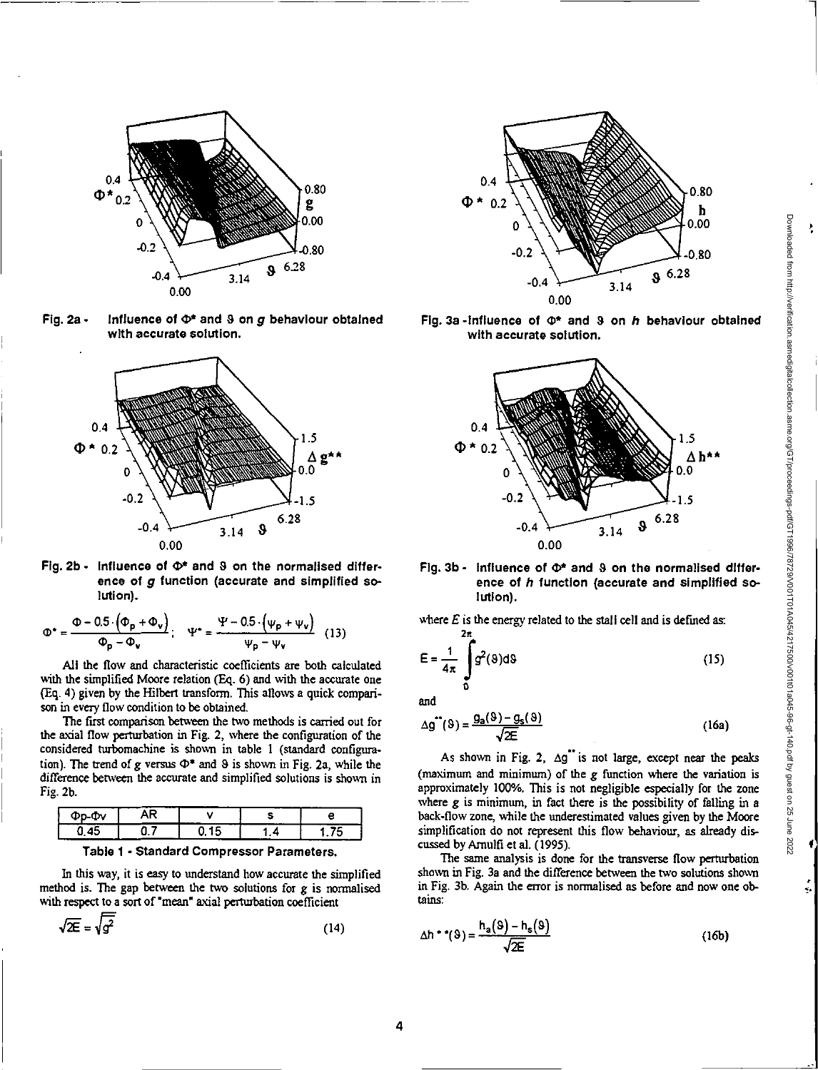Ą



Fig. 2a - Influence of  $\Phi^*$  and 9 on  $g$  behaviour obtained with accurate solution.



Fig. 2b - Influence of  $\Phi^*$  and  $9$  on the normalised difference of *g* function (accurate and simplified solution).

$$
\Phi^* = \frac{\Phi - 0.5 \cdot (\Phi_p + \Phi_v)}{\Phi_p - \Phi_v}; \quad \Psi^* = \frac{\Psi - 0.5 \cdot (\psi_p + \psi_v)}{\psi_p - \psi_v} \quad (13)
$$

All the flow and characteristic coefficients are both calculated with the simplified Moore relation (Eq. 6) and with the accurate one (Eq. 4) given by the Hilbert transform. This allows a quick comparison in every flow condition to be obtained.

The first comparison between the two methods is carried out for the axial flow perturbation in Fig. 2, where the configuration of the considered turbomachine is shown in table 1 (standard configuration). The trend of *g* versus  $\Phi^*$  and  $\Theta$  is shown in Fig. 2a, while the difference *between the* accurate and simplified solutions is shown in Fig. 2b.

| <b>OD-OV</b> |  |  |
|--------------|--|--|
| к            |  |  |

Table 1 - Standard Compressor Parameters.

In this way, it is easy to understand how accurate the simplified method is. The gap between the two solutions for *g is* normalised with respect to a sort of "mean" axial perturbation coefficient

$$
\sqrt{2E} = \sqrt{g^2} \tag{14}
$$



Fig. 3a -influence of  $\Phi^*$  and 3 on h behaviour obtained with accurate solution.



## Fig. 3b - Influence of  $\Phi^*$  and  $S$  on the normalised difference of *h* function (accurate and simplified solution).

where *E* is the energy related to the stall cell and is defined as: **2n** 

$$
E = \frac{1}{4\pi} \int_{0}^{\pi} g^{2}(9) d9
$$
 (15)

and

$$
\Delta g^{\bullet\bullet}(9) = \frac{g_a(9) - g_s(9)}{\sqrt{2E}}\tag{16a}
$$

As shown in Fig. 2,  $\Delta g^{\text{th}}$  is not large, except near the peaks (maximum and minimum) of the *g* function where the variation is approximately 100%. This is not negligible especially for the zone where *g is* minimum, in fact there is the possibility of falling in a back-flow zone, while the underestimated values given by the Moore simplification do not represent this flow behaviour, as already discussed by Amulfi et al. (1995).

The same analysis is done for the transverse flow perturbation shown in Fig. 3a and the difference *between* the two solutions shown in Fig. 3b. Again the error is normalised as before and now one obtains:

$$
\Delta h \cdot \bullet (9) = \frac{h_a(9) - h_s(9)}{\sqrt{2E}} \tag{16b}
$$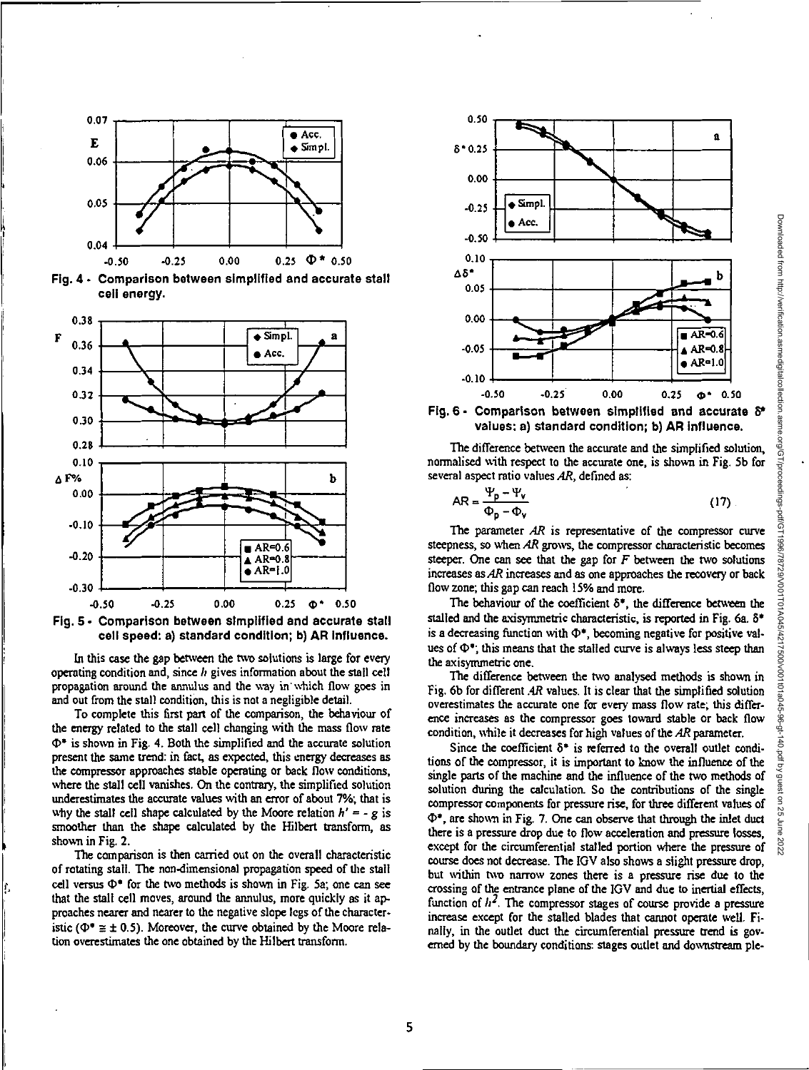





In this case the gap between the two solutions is large for every operating condition and, since  $h$  gives information about the stall cell propagation around the annulus and the way in which flow goes in and out from the stall condition, this is not a negligible detail.

To complete this first part of the comparison, the behaviour of the energy related to the stall cell changing with the mass flow rate  $\Phi^*$  is shown in Fig. 4. Both the simplified and the accurate solution present the same trend: in fact, as expected, this energy decreases as the compressor approaches stable operating or back flow conditions, where the stall cell vanishes. On the contrary, the simplified solution underestimates the accurate values with an error of about 7% that is why the stall cell shape calculated by the Moore relation  $h' = -g$  is smoother than the shape calculated by the Hilbert transfonn, as shown in Fig. 2.

The comparison is then carried out on the overall characteristic of rotating stall. The non-dimensional propagation speed of the stall cell versus  $\Phi^*$  for the two methods is shown in Fig. 5a; one can see that the stall cell moves, around the annulus, more quickly as it approaches nearer and nearer to the negative slope legs of the characteristic ( $\Phi^* \equiv \pm 0.5$ ). Moreover, the curve obtained by the Moore relation overestimates the one obtained by the Hilbert transform.





The difference between the accurate and the simplified solution, normalised with respect to the accurate one, is shown in Fig. 5b for several aspect ratio values AR, defined as:

$$
AR = \frac{\Psi_p - \Psi_v}{\Phi_p - \Phi_v}
$$
 (17)

The parameter AR is representative of the compressor curve steepness, so when AR grows, the compressor characteristic becomes steeper. One can see that the gap for  $F$  between the two solutions increases as AR increases and as one approaches the recovery or back flow zone; this gap can reach 15% and more.

The behaviour of the coefficient  $\delta^*$ , the difference between the stalled and the axisymmetric characteristic, is reported in Fig. 6a.  $\delta^*$ is a decreasing function with  $\Phi^*$ , becoming negative for positive values of  $\Phi^{\bullet}$ ; this means that the stalled curve is always less steep than the axisynunetric one.

The difference between the two analysed methods is shown in Fig. 6b for different .4R values. It is clear that the simplified solution overestimates the accurate one for every mass flow rate; this difference increases as the compressor goes toward stable or back flow condition, while it decreases for high values of the AR parameter.

Since the coefficient  $\delta^*$  is referred to the overall outlet conditions of the compressor, it is important to know the influence of the single parts of the machine and the influence of the two methods of solution during the calculation. So the contributions of the single compressor components for pressure rise, for three different values of  $\Phi^*$ , are shown in Fig. 7. One can observe that through the inlet duct there is a pressure drop due to flow acceleration and pressure losses, except for the circumferential stalled portion where the pressure of course does not decrease. The IGV also shows a slight pressure drop, but within two narrow zones there is a pressure rise due to the crossing of the entrance plane of the IGV and due to inertial effects, function of  $h^2$ . The compressor stages of course provide a pressure increase except for the stalled blades that cannot operate well. Finally, in the outlet duct the circumferential pressure trend is governed by the boundary conditions: stages outlet and downstream ple-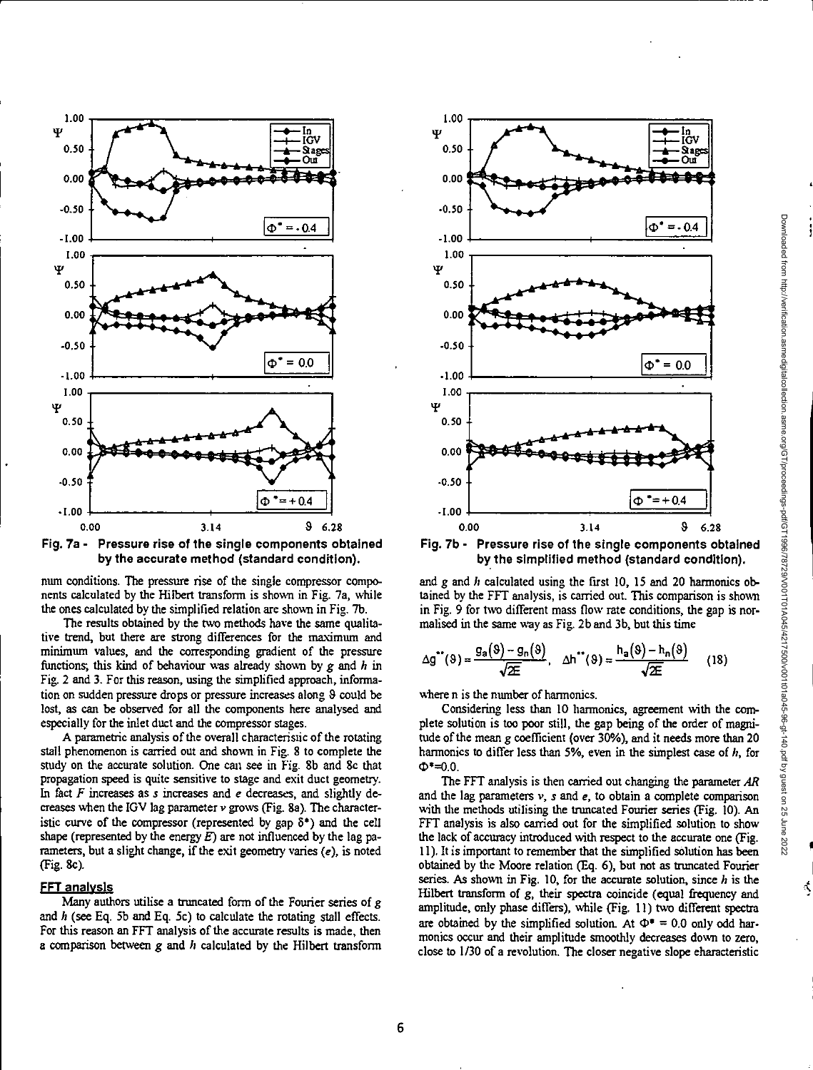

num conditions. The pressure rise of the single compressor components calculated by the Hilbert transform is shown in Fig. 7a, while the ones calculated by the simplified relation are shown in Fig. 7b.

The results obtained by the two methods have the same qualitative trend, but there are strong differences for the maximum and minimum values, and the corresponding gradient of the pressure functions; this kind of behaviour was already shown by *g* and h in Fig. 2 and 3. For this reason, using the simplified approach, information on sudden pressure drops or pressure increases along & could be lost, as can be observed for all the components here analysed and especially for the inlet duct and the compressor stages.

A parametric analysis of the overall characteristic of the rotating stall phenomenon is carried out and shown in Fig. 8 to complete the study on the accurate solution. One can see in Fig. 8b and Sc that propagation speed is quite sensitive to stage and exit duct geometry. In fact *F* increases as *s* increases and *e* decreases, and slightly decreases when the IGV lag parameter v grows (Fig. 8a). The characteristic curve of the compressor (represented by gap  $\delta^*$ ) and the cell shape (represented by the energy  $E$ ) are not influenced by the lag parameters, but a slight change, if the exit geometry varies (e), is noted (Fig. Sc).

#### **FFT analysis**

Many authors utilise a truncated form of the Fourier series of *g*  and h (see Eq. 5b and Eq. 5c) to calculate the rotating stall effects. For this reason an FFT analysis of the accurate results is made, then a comparison between *g* and *II* calculated by the Hilbert transform



Fig. 7b - Pressure rise of the single components obtained by the simplified method (standard condition).

and *g* and *h* calculated using the first 10, 15 and 20 harmonics obtained by the FFT analysis, is carried out This comparison is shown in Fig. 9 for two different mass flow rate conditions, the gap is normalised in the same way as Fig. 2b and 3b, but this time

$$
\Delta g^{\bullet\bullet}(9) = \frac{g_a(9) - g_n(9)}{\sqrt{2\epsilon}}, \quad \Delta h^{\bullet\bullet}(9) = \frac{h_a(9) - h_n(9)}{\sqrt{2\epsilon}} \tag{18}
$$

where n is the number of harmonics.

Considering less than 10 harmonics, agreement with the complete solution is too poor still, the gap being of the order of magnitude of the mean *g* coefficient (over 30%), and it needs more than 20 harmonics to differ less than 5%, even in the simplest case of h, for  $\Phi^* = 0.0$ .

The FFT analysis is then carried out changing the parameter *AR*  and the lag parameters v, *s* and *e,* to obtain a complete comparison with the methods utilising the truncated Fourier series (Fig. 10). An FFT analysis is also carried out for the simplified solution to show the lack of accuracy introduced with respect to the accurate one (Fig. 11). It is important to remember that the simplified solution has been obtained by the Moore relation (Eq. 6), but not as truncated Fourier series. As shown in Fig. 10, for the accurate solution, since  $h$  is the Hilbert transform of *g,* their spectra coincide (equal frequency and amplitude, only phase differs), while (Fig. 11) two different spectra are obtained by the simplified solution. At  $\Phi^* = 0.0$  only odd harmonics occur and their amplitude smoothly decreases down to zero, close to 1/30 of a revolution. The closer negative slope characteristic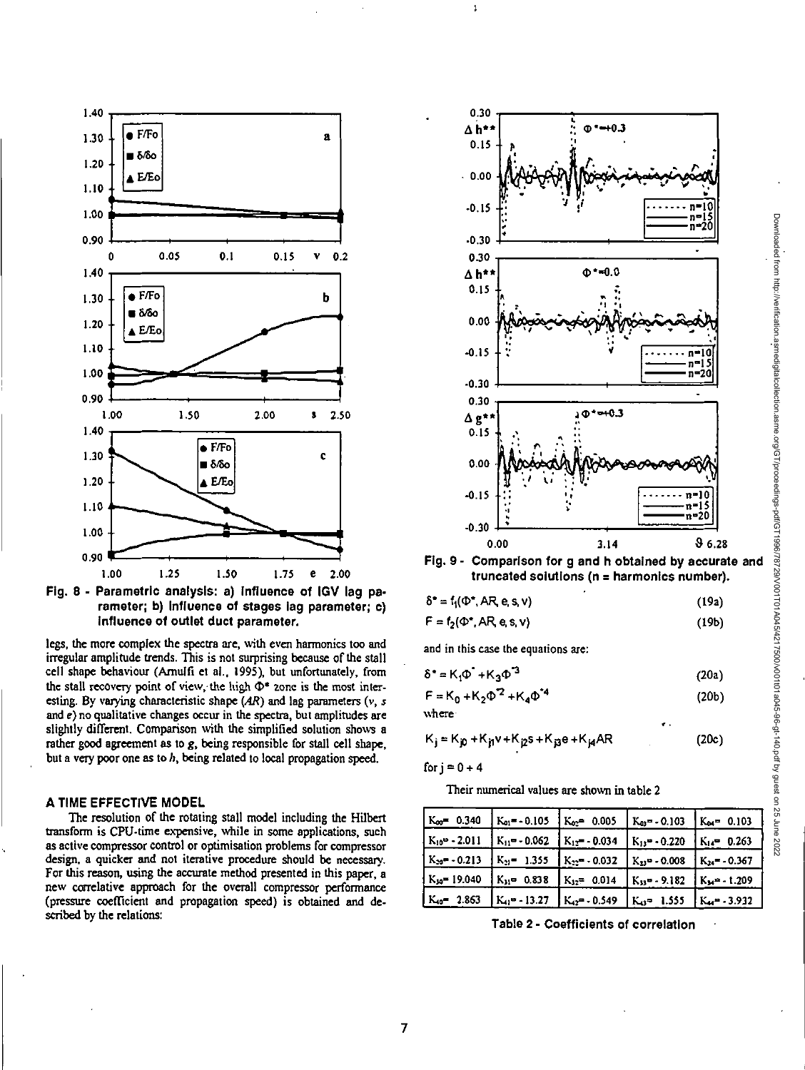



legs, the more complex the spectra are, with *even harmonics* too and irregular amplitude trends. This is not surprising because of the stall cell shape behaviour (Amulfi et al., 1995), but unfortunately, from the stall recovery point of view, the high  $\Phi^*$  zone is the most interesting. By varying characteristic shape *(AR)* and lag parameters (v, 5 and *e)* no qualitative changes occur in the spectra, but amplitudes are slightly different. Comparison with the simplified solution shows a rather good agreement as to *g,* being responsible for stall cell shape, but a very poor one as to  $h$ , being related to local propagation speed.

## A TIME EFFECTIVE MODEL

The resolution of the rotating stall model including the Hilbert transform is CPU-time expensive, while in some applications, such as active compressor control or optimisation problems for compressor design, a quicker and not iterative procedure should be necessary. For this reason, using the accurate method presented in this paper, a new correlative approach for the overall compressor performance (pressure coefficient and propagation speed) is obtained and described by the relations:



Fig. 9- Comparison for g and h obtained by accurate and truncated solutions (n = harmonics number).

| $\delta^* = f_1(\Phi^*, AR, e, s, v)$ |       |
|---------------------------------------|-------|
|                                       | (19a) |

(19b)  $F = f_2(\Phi^*$ , AR, e, s, v)

and in this case the equations are:

ţ.

$$
\delta^* = K_1 \Phi^* + K_3 \Phi^3 \tag{20a}
$$

$$
F = K_0 + K_2 \Phi^2 + K_4 \Phi^4
$$
 (20b)

where

$$
K_{j} = K_{j0} + K_{j1}v + K_{j2}s + K_{j3}e + K_{j4}AR
$$
 (20c)

for  $j = 0 + 4$ 

Their numerical values are shown in table 2

|                  | $K_{\infty}$ = 0.340 $K_{01}$ = - 0.105 $K_{02}$ = 0.005 | $K_{03} = -0.103$ $K_{04} = 0.103$                                                          |                                    |
|------------------|----------------------------------------------------------|---------------------------------------------------------------------------------------------|------------------------------------|
|                  | $K_{10}$ = - 2.011 $K_{11}$ = - 0.062 $K_{12}$ = - 0.034 | $K_{13} = -0.220$ $K_{14} = 0.263$                                                          |                                    |
|                  |                                                          | $K_{20}$ = - 0.213 $K_{21}$ = 1.355 $K_{22}$ = - 0.032 $K_{23}$ = - 0.008 $K_{24}$ = -0.367 |                                    |
|                  | $K_{30}$ = 19.040 $K_{31}$ = 0.838 $K_{32}$ = 0.014      | $K_{33}$ = - 9.182 K <sub>M</sub> = - 1.209                                                 |                                    |
| $K_{10}$ = 2.863 | $K_{11}$ = -13.27 $K_{12}$ = -0.549                      |                                                                                             | $K_{43}$ = 1.555 $K_{44}$ = -3.932 |

Table 2 - Coefficients of correlation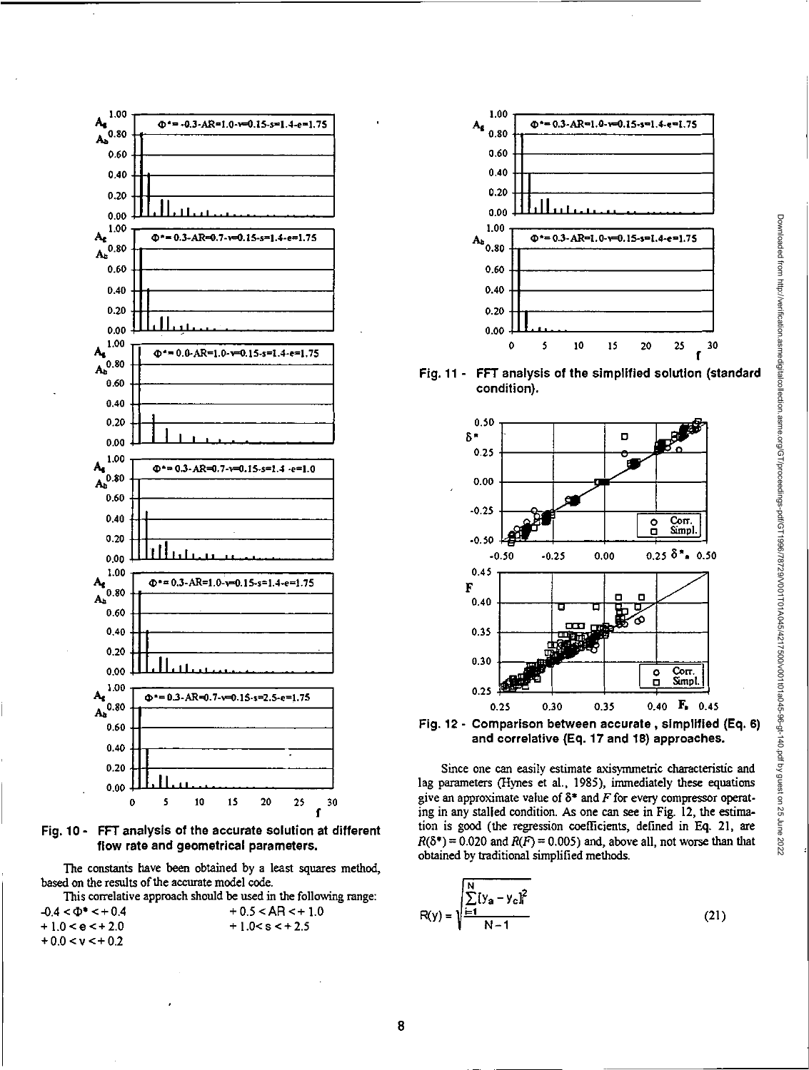

**Fig. 10- FFT analysis of the accurate solution at different flow rate and geometrical parameters.** 

The constants have been obtained by a least squares method, based on the results of the accurate model code.

This correlative approach should be used in the following range:

| $-0.4 < \Phi$ * $\le +0.4$ | $+0.5 < AR < +1.0$ |
|----------------------------|--------------------|
| $+10 < e < +2.0$           | $+1.0 < s < +2.5$  |
| $+0.0 < v < +0.2$          |                    |



**Fig. 11 - FFT analysis of the simplified solution (standard condition).** 





Since one can easily estimate axisymmetric characteristic and lag parameters (Hynes et al., 1985), immediately these equations give an approximate value of **8\* and** F **for** every compressor operating in any stalled condition. As one can see in Fig. 12, the estimation is good (the regression coefficients, defined in Eq. 21, are  $R(\delta^*) = 0.020$  and  $R(F) = 0.005$ ) and, above all, not worse than that obtained by traditional simplified methods.

$$
R(y) = \sqrt{\frac{\sum_{i=1}^{N} [y_a - y_c]_i^2}{N - 1}}
$$
 (21)